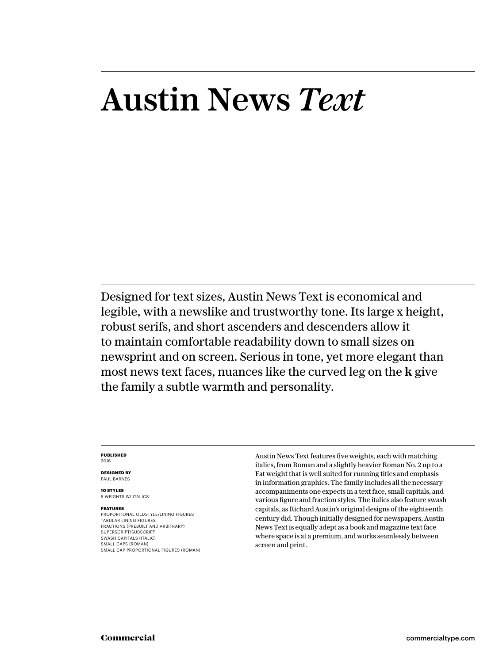# Austin News *Text*

Designed for text sizes, Austin News Text is economical and legible, with a newslike and trustworthy tone. Its large x height, robust serifs, and short ascenders and descenders allow it to maintain comfortable readability down to small sizes on newsprint and on screen. Serious in tone, yet more elegant than most news text faces, nuances like the curved leg on the **k** give the family a subtle warmth and personality.

#### **PUBLISHED** 2016

**DESIGNED BY** PAUL BARNES

**10 STYLES** 5 WEIGHTS W/ ITALICS

#### **FEATURES**

PROPORTIONAL OLDSTYLE/LINING FIGURES TABULAR LINING FIGURES FRACTIONS (PREBUILT AND ARBITRARY) SUPERSCRIPT/SUBSCRIPT SWASH CAPITALS (ITALIC) SMALL CAPS (ROMAN) SMALL CAP PROPORTIONAL FIGURES (ROMAN) Austin News Text features five weights, each with matching italics, from Roman and a slightly heavier Roman No. 2 up to a Fat weight that is well suited for running titles and emphasis in information graphics. The family includes all the necessary accompaniments one expects in a text face, small capitals, and various figure and fraction styles. The italics also feature swash capitals, as Richard Austin's original designs of the eighteenth century did. Though initially designed for newspapers, Austin News Text is equally adept as a book and magazine text face where space is at a premium, and works seamlessly between screen and print.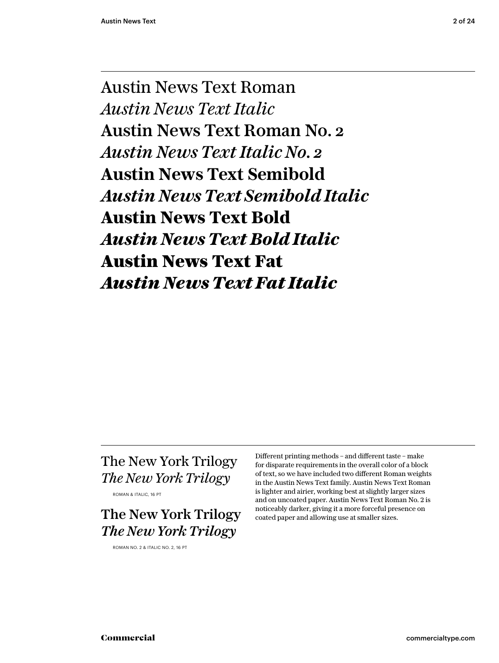Austin News Text Roman *Austin News Text Italic* Austin News Text Roman No. 2 *Austin News Text Italic No. 2* **Austin News Text Semibold** *Austin News Text Semibold Italic* **Austin News Text Bold** *Austin News Text Bold Italic* Austin News Text Fat *Austin News Text Fat Italic*

# The New York Trilogy *The New York Trilogy*

ROMAN & ITALIC, 16 PT

The New York Trilogy *The New York Trilogy*

ROMAN NO. 2 & ITALIC NO. 2, 16 PT

Different printing methods – and different taste – make for disparate requirements in the overall color of a block of text, so we have included two different Roman weights in the Austin News Text family. Austin News Text Roman is lighter and airier, working best at slightly larger sizes and on uncoated paper. Austin News Text Roman No. 2 is noticeably darker, giving it a more forceful presence on coated paper and allowing use at smaller sizes.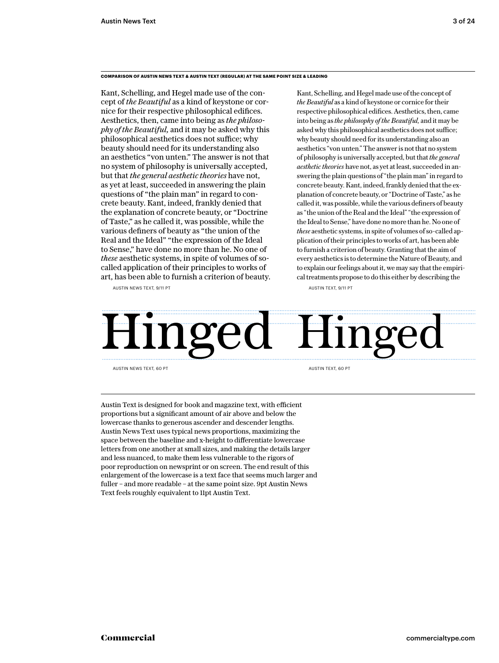#### **COMPARISON OF AUSTIN NEWS TEXT & AUSTIN TEXT (REGULAR) AT THE SAME POINT SIZE & LEADING**

Kant, Schelling, and Hegel made use of the concept of *the Beautiful* as a kind of keystone or cornice for their respective philosophical edifices. Aesthetics, then, came into being as *the philosophy of the Beautiful,* and it may be asked why this philosophical aesthetics does not suffice; why beauty should need for its understanding also an aesthetics "von unten." The answer is not that no system of philosophy is universally accepted, but that *the general aesthetic theories* have not, as yet at least, succeeded in answering the plain questions of "the plain man" in regard to concrete beauty. Kant, indeed, frankly denied that the explanation of concrete beauty, or "Doctrine of Taste," as he called it, was possible, while the various definers of beauty as "the union of the Real and the Ideal" "the expression of the Ideal to Sense," have done no more than he. No one of *these* aesthetic systems, in spite of volumes of socalled application of their principles to works of art, has been able to furnish a criterion of beauty.

AUSTIN NEWS TEXT, 9/11 PT

Kant, Schelling, and Hegel made use of the concept of *the Beautiful* as a kind of keystone or cornice for their respective philosophical edifices. Aesthetics, then, came into being as *the philosophy of the Beautiful,* and it may be asked why this philosophical aesthetics does not suffice; why beauty should need for its understanding also an aesthetics "von unten." The answer is not that no system of philosophy is universally accepted, but that *the general aesthetic theories* have not, as yet at least, succeeded in answering the plain questions of "the plain man" in regard to concrete beauty. Kant, indeed, frankly denied that the explanation of concrete beauty, or "Doctrine of Taste," as he called it, was possible, while the various definers of beauty as "the union of the Real and the Ideal" "the expression of the Ideal to Sense," have done no more than he. No one of *these* aesthetic systems, in spite of volumes of so-called application of their principles to works of art, has been able to furnish a criterion of beauty. Granting that the aim of every aesthetics is to determine the Nature of Beauty, and to explain our feelings about it, we may say that the empirical treatments propose to do this either by describing the

AUSTIN TEXT, 9/11 PT



AUSTIN NEWS TEXT, 60 PT

AUSTIN TEXT, 60 PT

Austin Text is designed for book and magazine text, with efficient proportions but a significant amount of air above and below the lowercase thanks to generous ascender and descender lengths. Austin News Text uses typical news proportions, maximizing the space between the baseline and x-height to differentiate lowercase letters from one another at small sizes, and making the details larger and less nuanced, to make them less vulnerable to the rigors of poor reproduction on newsprint or on screen. The end result of this enlargement of the lowercase is a text face that seems much larger and fuller – and more readable – at the same point size. 9pt Austin News Text feels roughly equivalent to 11pt Austin Text.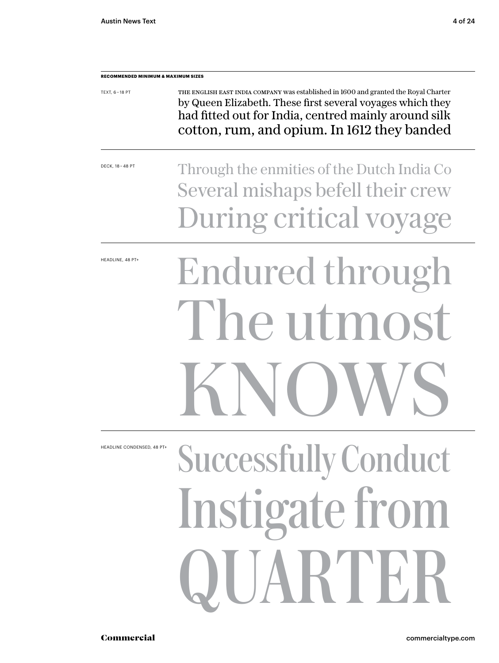| <b>RECOMMENDED MINIMUM &amp; MAXIMUM SIZES</b> |                                                                                                                                                                                                                                                           |  |  |  |
|------------------------------------------------|-----------------------------------------------------------------------------------------------------------------------------------------------------------------------------------------------------------------------------------------------------------|--|--|--|
| TEXT, 6-18 PT                                  | THE ENGLISH EAST INDIA COMPANY was established in 1600 and granted the Royal Charter<br>by Queen Elizabeth. These first several voyages which they<br>had fitted out for India, centred mainly around silk<br>cotton, rum, and opium. In 1612 they banded |  |  |  |
| DECK, 18 - 48 PT                               | Through the enmities of the Dutch India Co<br>Several mishaps befell their crew<br>During critical voyage                                                                                                                                                 |  |  |  |
| HEADLINE, 48 PT+                               | Endured through<br>The utmost<br>SNOV                                                                                                                                                                                                                     |  |  |  |
| HEADLINE CONDENSED, 48 PT+                     | <b>Successfully Conduct</b><br><b>Instigate from</b><br>QUARTER                                                                                                                                                                                           |  |  |  |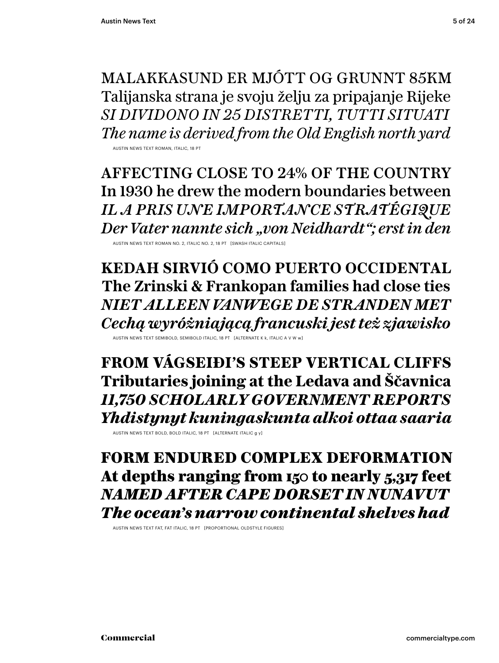MALAKKASUND ER MJÓTT OG GRUNNT 85KM Talijanska strana je svoju želju za pripajanje Rijeke *SI DIVIDONO IN 25 DISTRETTI, TUTTI SITUATI The name is derived from the Old English north yard*

AUSTIN NEWS TEXT ROMAN, ITALIC.

AFFECTING CLOSE TO 24% OF THE COUNTRY In 1930 he drew the modern boundaries between *IL A PRIS UNE IMPORTANCE STRATÉGIQUE Der Vater nannte sich "von Neidhardt"; erst in den*

AUSTIN NEWS TEXT ROMAN NO. 2, ITALIC NO. 2, 18 PT [SWASH ITALIC CAPITALS]

**KEDAH SIRVIÓ COMO PUERTO OCCIDENTAL The Zrinski & Frankopan families had close ties** *NIET ALLEEN VANWEGE DE STRANDEN MET Cechą wyróżniającą francuski jest też zjawisko*

AUSTIN NEWS TEXT SEMIBOLD, SEMIBOLD ITALIC, 18 PT [ALTERNATE K k, ITALIC A V W w]

**FROM VÁGSEIÐI'S STEEP VERTICAL CLIFFS Tributaries joining at the Ledava and Ščavnica** *11,750 SCHOLARLY GOVERNMENT REPORTS Yhdistynyt kuningaskunta alkoi ottaa saaria*

AUSTIN NEWS TEXT BOLD, BOLD ITALIC, 18 PT [ALTERNATE ITALIC g y]

FORM ENDURED COMPLEX DEFORMATION At depths ranging from 150 to nearly 5,317 feet *NAMED AFTER CAPE DORSET IN NUNAVUT The ocean's narrow continental shelves had*

AUSTIN NEWS TEXT FAT, FAT ITALIC, 18 PT [PROPORTIONAL OLDSTYLE FIGURES]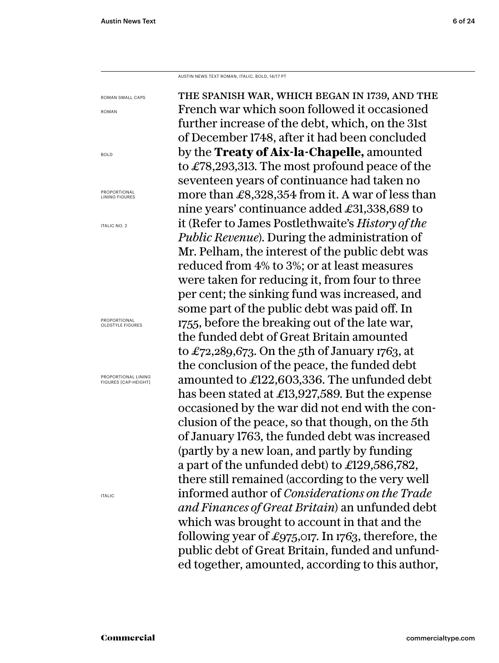AUSTIN NEWS TEXT ROMAN, ITALIC, BOLD, 14/17 PT

the spanish war, which began in 1739, and the French war which soon followed it occasioned further increase of the debt, which, on the 31st of December 1748, after it had been concluded by the **Treaty of Aix-la-Chapelle,** amounted to £78,293,313. The most profound peace of the seventeen years of continuance had taken no more than £8,328,354 from it. A war of less than nine years' continuance added £31,338,689 to it (Refer to James Postlethwaite's *History of the Public Revenue*). During the administration of Mr. Pelham, the interest of the public debt was reduced from 4% to 3%; or at least measures were taken for reducing it, from four to three per cent; the sinking fund was increased, and some part of the public debt was paid off. In 1755, before the breaking out of the late war, the funded debt of Great Britain amounted to £72,289,673. On the 5th of January 1763, at the conclusion of the peace, the funded debt amounted to £122,603,336. The unfunded debt has been stated at £13,927,589. But the expense occasioned by the war did not end with the conclusion of the peace, so that though, on the 5th of January 1763, the funded debt was increased (partly by a new loan, and partly by funding a part of the unfunded debt) to £129,586,782, there still remained (according to the very well informed author of *Considerations on the Trade and Finances of Great Britain*) an unfunded debt which was brought to account in that and the following year of £975,017. In 1763, therefore, the public debt of Great Britain, funded and unfunded together, amounted, according to this author, ROMAN SMALL CAPS PROPORTIONAL LINING

ROMAN

BOLD

PROPORTIONAL LINING FIGURES

ITALIC NO. 2

PROPORTIONAL OLDSTYLE FIGURES

FIGURES [CAP-HEIGHT]

ITALIC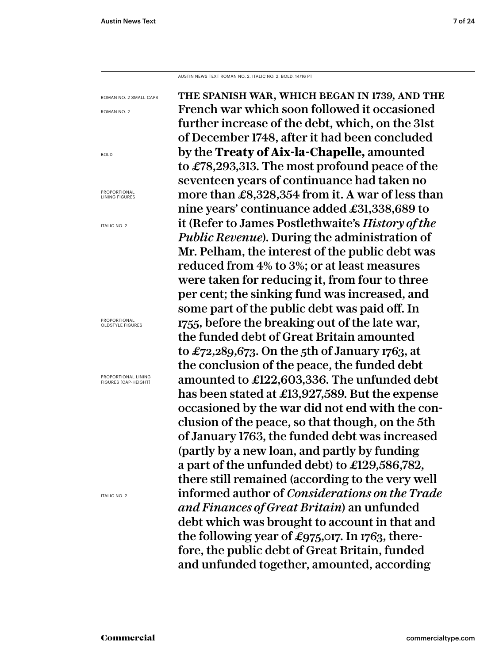AUSTIN NEWS TEXT ROMAN NO. 2, ITALIC NO. 2, BOLD, 14/16 PT

the spanish war, which began in 1739, and the French war which soon followed it occasioned further increase of the debt, which, on the 31st of December 1748, after it had been concluded by the **Treaty of Aix-la-Chapelle,** amounted to £78,293,313. The most profound peace of the seventeen years of continuance had taken no more than £8,328,354 from it. A war of less than nine years' continuance added £31,338,689 to it (Refer to James Postlethwaite's *History of the Public Revenue*). During the administration of Mr. Pelham, the interest of the public debt was reduced from 4% to 3%; or at least measures were taken for reducing it, from four to three per cent; the sinking fund was increased, and some part of the public debt was paid off. In 1755, before the breaking out of the late war, the funded debt of Great Britain amounted to £72,289,673. On the 5th of January 1763, at the conclusion of the peace, the funded debt amounted to £122,603,336. The unfunded debt has been stated at £13,927,589. But the expense occasioned by the war did not end with the conclusion of the peace, so that though, on the 5th of January 1763, the funded debt was increased (partly by a new loan, and partly by funding a part of the unfunded debt) to £129,586,782, there still remained (according to the very well informed author of *Considerations on the Trade and Finances of Great Britain*) an unfunded debt which was brought to account in that and the following year of £975,017. In 1763, therefore, the public debt of Great Britain, funded and unfunded together, amounted, according ROMAN NO. 2 SMALL CAPS ROMAN NO. 2 BOLD PROPORTIONAL LINING FIGURES ITALIC NO. 2 PROPORTIONAL OLDSTYLE FIGURES PROPORTIONAL LINING FIGURES [CAP-HEIGHT] ITALIC NO. 2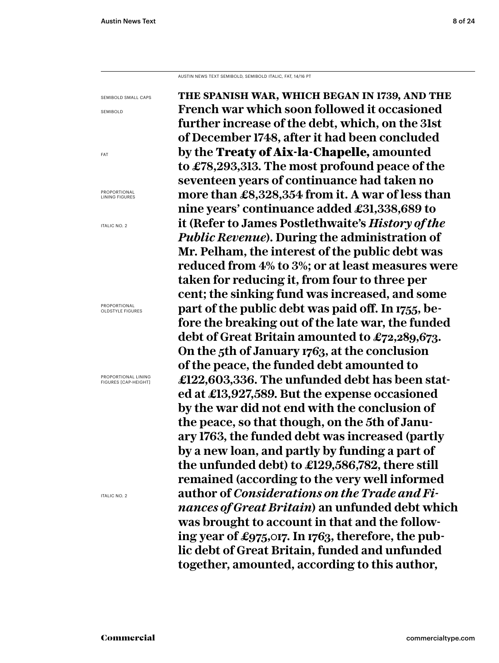AUSTIN NEWS TEXT SEMIBOLD, SEMIBOLD ITALIC, FAT, 14/16 PT

**the spanish war, which began in 1739, and the French war which soon followed it occasioned further increase of the debt, which, on the 31st of December 1748, after it had been concluded by the** Treaty of Aix-la-Chapelle, **amounted to £78,293,313. The most profound peace of the seventeen years of continuance had taken no more than £8,328,354 from it. A war of less than nine years' continuance added £31,338,689 to it (Refer to James Postlethwaite's** *History of the Public Revenue***). During the administration of Mr. Pelham, the interest of the public debt was reduced from 4% to 3%; or at least measures were taken for reducing it, from four to three per cent; the sinking fund was increased, and some part of the public debt was paid off. In 1755, before the breaking out of the late war, the funded debt of Great Britain amounted to £72,289,673. On the 5th of January 1763, at the conclusion of the peace, the funded debt amounted to £122,603,336. The unfunded debt has been stated at £13,927,589. But the expense occasioned by the war did not end with the conclusion of the peace, so that though, on the 5th of January 1763, the funded debt was increased (partly by a new loan, and partly by funding a part of the unfunded debt) to £129,586,782, there still remained (according to the very well informed author of** *Considerations on the Trade and Finances of Great Britain***) an unfunded debt which was brought to account in that and the following year of £975,017. In 1763, therefore, the public debt of Great Britain, funded and unfunded together, amounted, according to this author,**  SEMIBOLD SMALL CAPS SEMIBOLD PROPORTIONAL LINING FIGURES ITALIC NO. 2 PROPORTIONAL PROPORTIONAL LINING

OLDSTYLE FIGURES

FAT

FIGURES [CAP-HEIGHT]

ITALIC NO. 2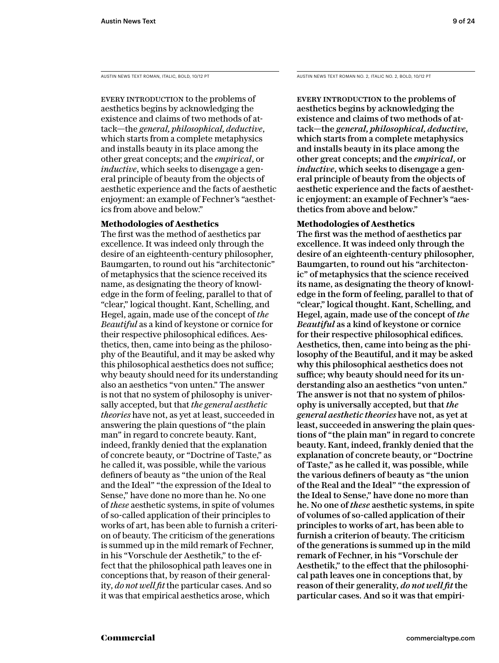EVERY INTRODUCTION to the problems of aesthetics begins by acknowledging the existence and claims of two methods of attack—the *general, philosophical, deductive*, which starts from a complete metaphysics and installs beauty in its place among the other great concepts; and the *empirical*, or *inductive*, which seeks to disengage a general principle of beauty from the objects of aesthetic experience and the facts of aesthetic enjoyment: an example of Fechner's "aesthetics from above and below."

# **Methodologies of Aesthetics**

The first was the method of aesthetics par excellence. It was indeed only through the desire of an eighteenth-century philosopher, Baumgarten, to round out his "architectonic" of metaphysics that the science received its name, as designating the theory of knowledge in the form of feeling, parallel to that of "clear," logical thought. Kant, Schelling, and Hegel, again, made use of the concept of *the Beautiful* as a kind of keystone or cornice for their respective philosophical edifices. Aesthetics, then, came into being as the philosophy of the Beautiful, and it may be asked why this philosophical aesthetics does not suffice; why beauty should need for its understanding also an aesthetics "von unten." The answer is not that no system of philosophy is universally accepted, but that *the general aesthetic theories* have not, as yet at least, succeeded in answering the plain questions of "the plain man" in regard to concrete beauty. Kant, indeed, frankly denied that the explanation of concrete beauty, or "Doctrine of Taste," as he called it, was possible, while the various definers of beauty as "the union of the Real and the Ideal" "the expression of the Ideal to Sense," have done no more than he. No one of *these* aesthetic systems, in spite of volumes of so-called application of their principles to works of art, has been able to furnish a criterion of beauty. The criticism of the generations is summed up in the mild remark of Fechner, in his "Vorschule der Aesthetik," to the effect that the philosophical path leaves one in conceptions that, by reason of their generality, *do not well fit* the particular cases. And so it was that empirical aesthetics arose, which

AUSTIN NEWS TEXT ROMAN, ITALIC, BOLD, 10/12 PT AUSTIN NEWS TEXT ROMAN NO. 2, ITALIC NO. 2, BOLD, 10/12 PT

EVERY INTRODUCTION to the problems of aesthetics begins by acknowledging the existence and claims of two methods of attack—the *general, philosophical, deductive*, which starts from a complete metaphysics and installs beauty in its place among the other great concepts; and the *empirical*, or *inductive*, which seeks to disengage a general principle of beauty from the objects of aesthetic experience and the facts of aesthetic enjoyment: an example of Fechner's "aesthetics from above and below."

# **Methodologies of Aesthetics**

The first was the method of aesthetics par excellence. It was indeed only through the desire of an eighteenth-century philosopher, Baumgarten, to round out his "architectonic" of metaphysics that the science received its name, as designating the theory of knowledge in the form of feeling, parallel to that of "clear," logical thought. Kant, Schelling, and Hegel, again, made use of the concept of *the Beautiful* as a kind of keystone or cornice for their respective philosophical edifices. Aesthetics, then, came into being as the philosophy of the Beautiful, and it may be asked why this philosophical aesthetics does not suffice; why beauty should need for its understanding also an aesthetics "von unten." The answer is not that no system of philosophy is universally accepted, but that *the general aesthetic theories* have not, as yet at least, succeeded in answering the plain questions of "the plain man" in regard to concrete beauty. Kant, indeed, frankly denied that the explanation of concrete beauty, or "Doctrine of Taste," as he called it, was possible, while the various definers of beauty as "the union of the Real and the Ideal" "the expression of the Ideal to Sense," have done no more than he. No one of *these* aesthetic systems, in spite of volumes of so-called application of their principles to works of art, has been able to furnish a criterion of beauty. The criticism of the generations is summed up in the mild remark of Fechner, in his "Vorschule der Aesthetik," to the effect that the philosophical path leaves one in conceptions that, by reason of their generality, *do not well fit* the particular cases. And so it was that empiri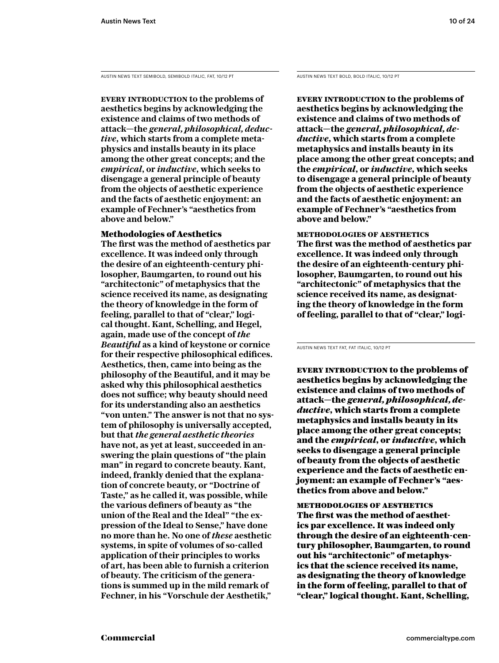AUSTIN NEWS TEXT SEMIBOLD, SEMIBOLD ITALIC, FAT, 10/12 PT AUSTIN NEWS TEXT BOLD, BOLD ITALIC, 10/12 PT

**Every introduction to the problems of aesthetics begins by acknowledging the existence and claims of two methods of attack—the** *general, philosophical, deductive***, which starts from a complete metaphysics and installs beauty in its place among the other great concepts; and the**  *empirical***, or** *inductive***, which seeks to disengage a general principle of beauty from the objects of aesthetic experience and the facts of aesthetic enjoyment: an example of Fechner's "aesthetics from above and below."** 

# Methodologies of Aesthetics

**The first was the method of aesthetics par excellence. It was indeed only through the desire of an eighteenth-century philosopher, Baumgarten, to round out his "architectonic" of metaphysics that the science received its name, as designating the theory of knowledge in the form of feeling, parallel to that of "clear," logical thought. Kant, Schelling, and Hegel, again, made use of the concept of** *the Beautiful* **as a kind of keystone or cornice for their respective philosophical edifices. Aesthetics, then, came into being as the philosophy of the Beautiful, and it may be asked why this philosophical aesthetics does not suffice; why beauty should need for its understanding also an aesthetics "von unten." The answer is not that no system of philosophy is universally accepted, but that** *the general aesthetic theories*  **have not, as yet at least, succeeded in answering the plain questions of "the plain man" in regard to concrete beauty. Kant, indeed, frankly denied that the explanation of concrete beauty, or "Doctrine of Taste," as he called it, was possible, while the various definers of beauty as "the union of the Real and the Ideal" "the expression of the Ideal to Sense," have done no more than he. No one of** *these* **aesthetic systems, in spite of volumes of so-called application of their principles to works of art, has been able to furnish a criterion of beauty. The criticism of the generations is summed up in the mild remark of Fechner, in his "Vorschule der Aesthetik,"** 

**Every introduction to the problems of aesthetics begins by acknowledging the existence and claims of two methods of attack—the** *general, philosophical, deductive***, which starts from a complete metaphysics and installs beauty in its place among the other great concepts; and the** *empirical***, or** *inductive***, which seeks to disengage a general principle of beauty from the objects of aesthetic experience and the facts of aesthetic enjoyment: an example of Fechner's "aesthetics from above and below."** 

**methodologies of aesthetics The first was the method of aesthetics par excellence. It was indeed only through the desire of an eighteenth-century philosopher, Baumgarten, to round out his "architectonic" of metaphysics that the science received its name, as designating the theory of knowledge in the form of feeling, parallel to that of "clear," logi-**

AUSTIN NEWS TEXT FAT, FAT ITALIC, 10/12 PT

EVERY INTRODUCTION to the problems of aesthetics begins by acknowledging the existence and claims of two methods of attack—the *general, philosophical, deductive*, which starts from a complete metaphysics and installs beauty in its place among the other great concepts; and the *empirical*, or *inductive*, which seeks to disengage a general principle of beauty from the objects of aesthetic experience and the facts of aesthetic enjoyment: an example of Fechner's "aesthetics from above and below."

methodologies of aesthetics The first was the method of aesthetics par excellence. It was indeed only through the desire of an eighteenth-century philosopher, Baumgarten, to round out his "architectonic" of metaphysics that the science received its name, as designating the theory of knowledge in the form of feeling, parallel to that of "clear," logical thought. Kant, Schelling,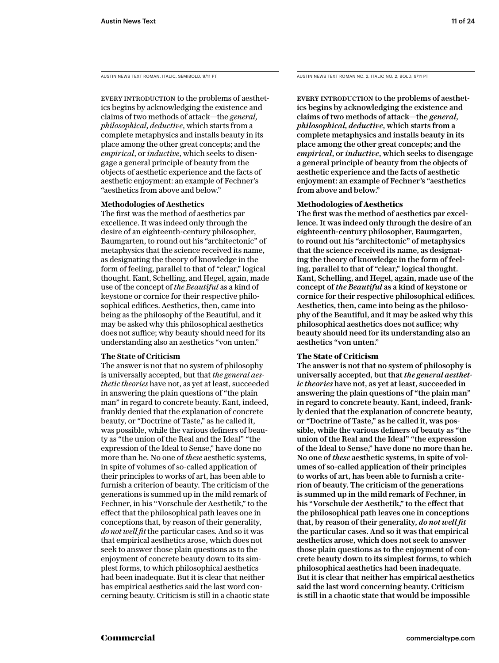AUSTIN NEWS TEXT ROMAN, ITALIC, SEMIBOLD, 9/11 PT

EVERY INTRODUCTION to the problems of aesthetics begins by acknowledging the existence and claims of two methods of attack—the *general, philosophical, deductive*, which starts from a complete metaphysics and installs beauty in its place among the other great concepts; and the *empirical*, or *inductive*, which seeks to disengage a general principle of beauty from the objects of aesthetic experience and the facts of aesthetic enjoyment: an example of Fechner's "aesthetics from above and below."

# **Methodologies of Aesthetics**

The first was the method of aesthetics par excellence. It was indeed only through the desire of an eighteenth-century philosopher, Baumgarten, to round out his "architectonic" of metaphysics that the science received its name, as designating the theory of knowledge in the form of feeling, parallel to that of "clear," logical thought. Kant, Schelling, and Hegel, again, made use of the concept of *the Beautiful* as a kind of keystone or cornice for their respective philosophical edifices. Aesthetics, then, came into being as the philosophy of the Beautiful, and it may be asked why this philosophical aesthetics does not suffice; why beauty should need for its understanding also an aesthetics "von unten."

# **The State of Criticism**

The answer is not that no system of philosophy is universally accepted, but that *the general aesthetic theories* have not, as yet at least, succeeded in answering the plain questions of "the plain man" in regard to concrete beauty. Kant, indeed, frankly denied that the explanation of concrete beauty, or "Doctrine of Taste," as he called it, was possible, while the various definers of beauty as "the union of the Real and the Ideal" "the expression of the Ideal to Sense," have done no more than he. No one of *these* aesthetic systems, in spite of volumes of so-called application of their principles to works of art, has been able to furnish a criterion of beauty. The criticism of the generations is summed up in the mild remark of Fechner, in his "Vorschule der Aesthetik," to the effect that the philosophical path leaves one in conceptions that, by reason of their generality, *do not well fit* the particular cases. And so it was that empirical aesthetics arose, which does not seek to answer those plain questions as to the enjoyment of concrete beauty down to its simplest forms, to which philosophical aesthetics had been inadequate. But it is clear that neither has empirical aesthetics said the last word concerning beauty. Criticism is still in a chaotic state AUSTIN NEWS TEXT ROMAN NO. 2, ITALIC NO. 2, BOLD, 9/11 PT

EVERY INTRODUCTION to the problems of aesthetics begins by acknowledging the existence and claims of two methods of attack—the *general, philosophical, deductive*, which starts from a complete metaphysics and installs beauty in its place among the other great concepts; and the *empirical*, or *inductive*, which seeks to disengage a general principle of beauty from the objects of aesthetic experience and the facts of aesthetic enjoyment: an example of Fechner's "aesthetics from above and below."

# **Methodologies of Aesthetics**

The first was the method of aesthetics par excellence. It was indeed only through the desire of an eighteenth-century philosopher, Baumgarten, to round out his "architectonic" of metaphysics that the science received its name, as designating the theory of knowledge in the form of feeling, parallel to that of "clear," logical thought. Kant, Schelling, and Hegel, again, made use of the concept of *the Beautiful* as a kind of keystone or cornice for their respective philosophical edifices. Aesthetics, then, came into being as the philosophy of the Beautiful, and it may be asked why this philosophical aesthetics does not suffice; why beauty should need for its understanding also an aesthetics "von unten."

# **The State of Criticism**

The answer is not that no system of philosophy is universally accepted, but that *the general aesthetic theories* have not, as yet at least, succeeded in answering the plain questions of "the plain man" in regard to concrete beauty. Kant, indeed, frankly denied that the explanation of concrete beauty, or "Doctrine of Taste," as he called it, was possible, while the various definers of beauty as "the union of the Real and the Ideal" "the expression of the Ideal to Sense," have done no more than he. No one of *these* aesthetic systems, in spite of volumes of so-called application of their principles to works of art, has been able to furnish a criterion of beauty. The criticism of the generations is summed up in the mild remark of Fechner, in his "Vorschule der Aesthetik," to the effect that the philosophical path leaves one in conceptions that, by reason of their generality, *do not well fit*  the particular cases. And so it was that empirical aesthetics arose, which does not seek to answer those plain questions as to the enjoyment of concrete beauty down to its simplest forms, to which philosophical aesthetics had been inadequate. But it is clear that neither has empirical aesthetics said the last word concerning beauty. Criticism is still in a chaotic state that would be impossible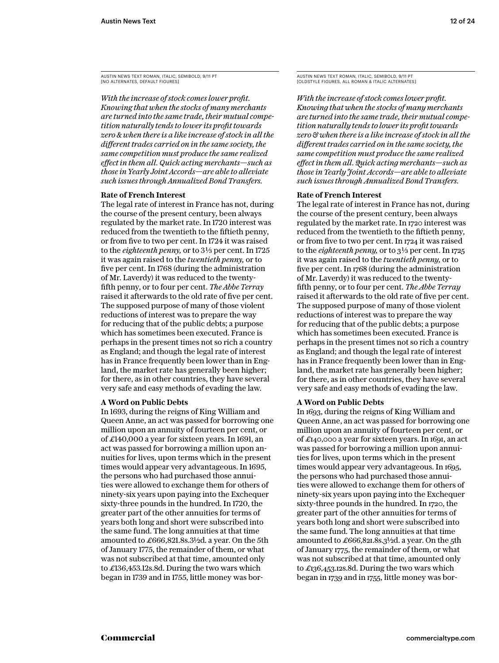AUSTIN NEWS TEXT ROMAN, ITALIC, SEMIBOLD, 9/11 PT [NO ALTERNATES, DEFAULT FIGURES]

*With the increase of stock comes lower profit. Knowing that when the stocks of many merchants are turned into the same trade, their mutual competition naturally tends to lower its profit towards zero & when there is a like increase of stock in all the different trades carried on in the same society, the same competition must produce the same realized effect in them all. Quick acting merchants—such as those in Yearly Joint Accords—are able to alleviate such issues through Annualized Bond Transfers.*

# **Rate of French Interest**

The legal rate of interest in France has not, during the course of the present century, been always regulated by the market rate. In 1720 interest was reduced from the twentieth to the fiftieth penny, or from five to two per cent. In 1724 it was raised to the *eighteenth penny*, or to 3<sup>1</sup>/<sub>3</sub> per cent. In 1725 it was again raised to the *twentieth penny,* or to five per cent. In 1768 (during the administration of Mr. Laverdy) it was reduced to the twentyfifth penny, or to four per cent. *The Abbe Terray* raised it afterwards to the old rate of five per cent. The supposed purpose of many of those violent reductions of interest was to prepare the way for reducing that of the public debts; a purpose which has sometimes been executed. France is perhaps in the present times not so rich a country as England; and though the legal rate of interest has in France frequently been lower than in England, the market rate has generally been higher; for there, as in other countries, they have several very safe and easy methods of evading the law.

# **A Word on Public Debts**

In 1693, during the reigns of King William and Queen Anne, an act was passed for borrowing one million upon an annuity of fourteen per cent, or of £140,000 a year for sixteen years. In 1691, an act was passed for borrowing a million upon annuities for lives, upon terms which in the present times would appear very advantageous. In 1695, the persons who had purchased those annuities were allowed to exchange them for others of ninety-six years upon paying into the Exchequer sixty-three pounds in the hundred. In 1720, the greater part of the other annuities for terms of years both long and short were subscribed into the same fund. The long annuities at that time amounted to £666,821.8s.3½d. a year. On the 5th of January 1775, the remainder of them, or what was not subscribed at that time, amounted only to £136,453.12s.8d. During the two wars which began in 1739 and in 1755, little money was borAUSTIN NEWS TEXT ROMAN, ITALIC, SEMIBOLD, 9/11 PT [OLDSTYLE FIGURES, ALL ROMAN & ITALIC ALTERNATES]

*With the increase of stock comes lower profit. Knowing that when the stocks of many merchants are turned into the same trade, their mutual competition naturally tends to lower its profit towards zero & when there is a like increase of stock in all the different trades carried on in the same society, the same competition must produce the same realized effect in them all. Quick acting merchants—such as those in Yearly Joint Accords—are able to alleviate such issues through Annualized Bond Transfers.*

#### **Rate of French Interest**

The legal rate of interest in France has not, during the course of the present century, been always regulated by the market rate. In 1720 interest was reduced from the twentieth to the fiftieth penny, or from five to two per cent. In 1724 it was raised to the *eighteenth penny*, or to  $3\frac{1}{3}$  per cent. In 1725 it was again raised to the *twentieth penny,* or to five per cent. In 1768 (during the administration of Mr. Laverdy) it was reduced to the twentyfifth penny, or to four per cent. *The Abbe Terray* raised it afterwards to the old rate of five per cent. The supposed purpose of many of those violent reductions of interest was to prepare the way for reducing that of the public debts; a purpose which has sometimes been executed. France is perhaps in the present times not so rich a country as England; and though the legal rate of interest has in France frequently been lower than in England, the market rate has generally been higher; for there, as in other countries, they have several very safe and easy methods of evading the law.

# **A Word on Public Debts**

In 1693, during the reigns of King William and Queen Anne, an act was passed for borrowing one million upon an annuity of fourteen per cent, or of £140,000 a year for sixteen years. In 1691, an act was passed for borrowing a million upon annuities for lives, upon terms which in the present times would appear very advantageous. In 1695, the persons who had purchased those annuities were allowed to exchange them for others of ninety-six years upon paying into the Exchequer sixty-three pounds in the hundred. In 1720, the greater part of the other annuities for terms of years both long and short were subscribed into the same fund. The long annuities at that time amounted to £666,821.8s.3½d. a year. On the 5th of January 1775, the remainder of them, or what was not subscribed at that time, amounted only to £136,453.12s.8d. During the two wars which began in 1739 and in 1755, little money was bor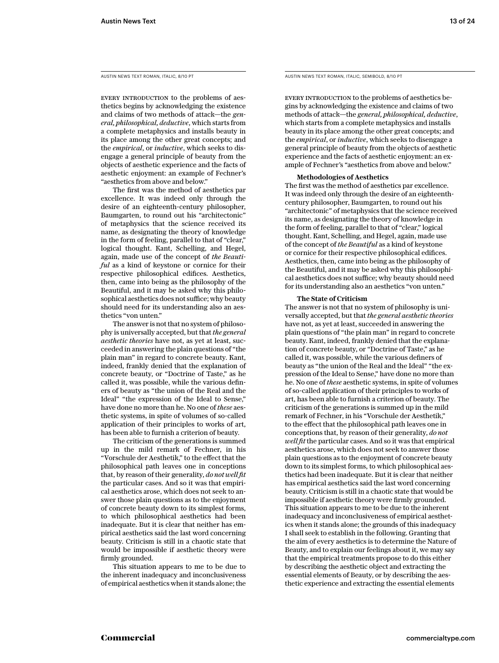AUSTIN NEWS TEXT ROMAN, ITALIC, 8/10 PT

EVERY INTRODUCTION to the problems of aesthetics begins by acknowledging the existence and claims of two methods of attack—the *general, philosophical, deductive*, which starts from a complete metaphysics and installs beauty in its place among the other great concepts; and the *empirical*, or *inductive*, which seeks to disengage a general principle of beauty from the objects of aesthetic experience and the facts of aesthetic enjoyment: an example of Fechner's "aesthetics from above and below."

The first was the method of aesthetics par excellence. It was indeed only through the desire of an eighteenth-century philosopher, Baumgarten, to round out his "architectonic" of metaphysics that the science received its name, as designating the theory of knowledge in the form of feeling, parallel to that of "clear," logical thought. Kant, Schelling, and Hegel, again, made use of the concept of *the Beautiful* as a kind of keystone or cornice for their respective philosophical edifices. Aesthetics, then, came into being as the philosophy of the Beautiful, and it may be asked why this philosophical aesthetics does not suffice; why beauty should need for its understanding also an aesthetics "von unten."

The answer is not that no system of philosophy is universally accepted, but that *the general aesthetic theories* have not, as yet at least, succeeded in answering the plain questions of "the plain man" in regard to concrete beauty. Kant, indeed, frankly denied that the explanation of concrete beauty, or "Doctrine of Taste," as he called it, was possible, while the various definers of beauty as "the union of the Real and the Ideal" "the expression of the Ideal to Sense," have done no more than he. No one of *these* aesthetic systems, in spite of volumes of so-called application of their principles to works of art, has been able to furnish a criterion of beauty.

The criticism of the generations is summed up in the mild remark of Fechner, in his "Vorschule der Aesthetik," to the effect that the philosophical path leaves one in conceptions that, by reason of their generality, *do not well fit*  the particular cases. And so it was that empirical aesthetics arose, which does not seek to answer those plain questions as to the enjoyment of concrete beauty down to its simplest forms, to which philosophical aesthetics had been inadequate. But it is clear that neither has empirical aesthetics said the last word concerning beauty. Criticism is still in a chaotic state that would be impossible if aesthetic theory were firmly grounded.

This situation appears to me to be due to the inherent inadequacy and inconclusiveness of empirical aesthetics when it stands alone; the AUSTIN NEWS TEXT ROMAN, ITALIC, SEMIBOLD, 8/10 PT

Every introduction to the problems of aesthetics begins by acknowledging the existence and claims of two methods of attack—the *general, philosophical, deductive*, which starts from a complete metaphysics and installs beauty in its place among the other great concepts; and the *empirical*, or *inductive*, which seeks to disengage a general principle of beauty from the objects of aesthetic experience and the facts of aesthetic enjoyment: an example of Fechner's "aesthetics from above and below."

#### **Methodologies of Aesthetics**

The first was the method of aesthetics par excellence. It was indeed only through the desire of an eighteenthcentury philosopher, Baumgarten, to round out his "architectonic" of metaphysics that the science received its name, as designating the theory of knowledge in the form of feeling, parallel to that of "clear," logical thought. Kant, Schelling, and Hegel, again, made use of the concept of *the Beautiful* as a kind of keystone or cornice for their respective philosophical edifices. Aesthetics, then, came into being as the philosophy of the Beautiful, and it may be asked why this philosophical aesthetics does not suffice; why beauty should need for its understanding also an aesthetics "von unten."

#### **The State of Criticism**

The answer is not that no system of philosophy is universally accepted, but that *the general aesthetic theories*  have not, as yet at least, succeeded in answering the plain questions of "the plain man" in regard to concrete beauty. Kant, indeed, frankly denied that the explanation of concrete beauty, or "Doctrine of Taste," as he called it, was possible, while the various definers of beauty as "the union of the Real and the Ideal" "the expression of the Ideal to Sense," have done no more than he. No one of *these* aesthetic systems, in spite of volumes of so-called application of their principles to works of art, has been able to furnish a criterion of beauty. The criticism of the generations is summed up in the mild remark of Fechner, in his "Vorschule der Aesthetik," to the effect that the philosophical path leaves one in conceptions that, by reason of their generality, *do not well fit* the particular cases. And so it was that empirical aesthetics arose, which does not seek to answer those plain questions as to the enjoyment of concrete beauty down to its simplest forms, to which philosophical aesthetics had been inadequate. But it is clear that neither has empirical aesthetics said the last word concerning beauty. Criticism is still in a chaotic state that would be impossible if aesthetic theory were firmly grounded. This situation appears to me to be due to the inherent inadequacy and inconclusiveness of empirical aesthetics when it stands alone; the grounds of this inadequacy I shall seek to establish in the following. Granting that the aim of every aesthetics is to determine the Nature of Beauty, and to explain our feelings about it, we may say that the empirical treatments propose to do this either by describing the aesthetic object and extracting the essential elements of Beauty, or by describing the aesthetic experience and extracting the essential elements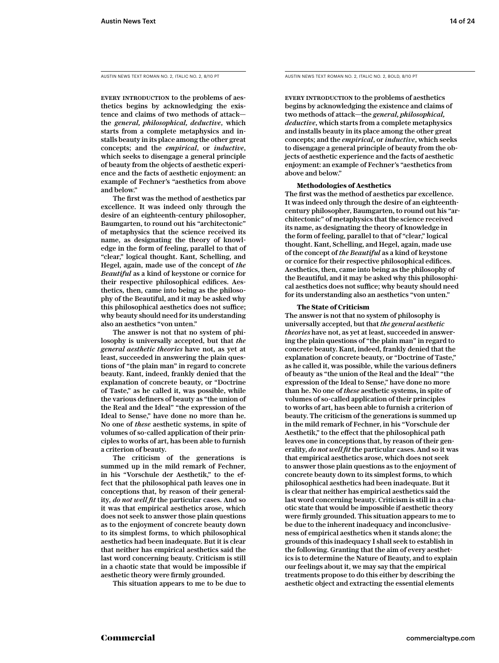EVERY INTRODUCTION to the problems of aesthetics begins by acknowledging the existence and claims of two methods of attack the *general, philosophical, deductive*, which starts from a complete metaphysics and installs beauty in its place among the other great concepts; and the *empirical*, or *inductive*, which seeks to disengage a general principle of beauty from the objects of aesthetic experience and the facts of aesthetic enjoyment: an example of Fechner's "aesthetics from above and below."

The first was the method of aesthetics par excellence. It was indeed only through the desire of an eighteenth-century philosopher, Baumgarten, to round out his "architectonic" of metaphysics that the science received its name, as designating the theory of knowledge in the form of feeling, parallel to that of "clear," logical thought. Kant, Schelling, and Hegel, again, made use of the concept of *the Beautiful* as a kind of keystone or cornice for their respective philosophical edifices. Aesthetics, then, came into being as the philosophy of the Beautiful, and it may be asked why this philosophical aesthetics does not suffice; why beauty should need for its understanding also an aesthetics "von unten."

The answer is not that no system of philosophy is universally accepted, but that *the general aesthetic theories* have not, as yet at least, succeeded in answering the plain questions of "the plain man" in regard to concrete beauty. Kant, indeed, frankly denied that the explanation of concrete beauty, or "Doctrine of Taste," as he called it, was possible, while the various definers of beauty as "the union of the Real and the Ideal" "the expression of the Ideal to Sense," have done no more than he. No one of *these* aesthetic systems, in spite of volumes of so-called application of their principles to works of art, has been able to furnish a criterion of beauty.

The criticism of the generations is summed up in the mild remark of Fechner, in his "Vorschule der Aesthetik," to the effect that the philosophical path leaves one in conceptions that, by reason of their generality, *do not well fit* the particular cases. And so it was that empirical aesthetics arose, which does not seek to answer those plain questions as to the enjoyment of concrete beauty down to its simplest forms, to which philosophical aesthetics had been inadequate. But it is clear that neither has empirical aesthetics said the last word concerning beauty. Criticism is still in a chaotic state that would be impossible if aesthetic theory were firmly grounded.

This situation appears to me to be due to

AUSTIN NEWS TEXT ROMAN NO. 2, ITALIC NO. 2, 8/10 PT AUSTIN NEWS TEXT ROMAN NO. 2, ITALIC NO. 2, BOLD, 8/10 PT

Every introduction to the problems of aesthetics begins by acknowledging the existence and claims of two methods of attack—the *general, philosophical, deductive*, which starts from a complete metaphysics and installs beauty in its place among the other great concepts; and the *empirical*, or *inductive*, which seeks to disengage a general principle of beauty from the objects of aesthetic experience and the facts of aesthetic enjoyment: an example of Fechner's "aesthetics from above and below."

#### **Methodologies of Aesthetics**

The first was the method of aesthetics par excellence. It was indeed only through the desire of an eighteenthcentury philosopher, Baumgarten, to round out his "architectonic" of metaphysics that the science received its name, as designating the theory of knowledge in the form of feeling, parallel to that of "clear," logical thought. Kant, Schelling, and Hegel, again, made use of the concept of *the Beautiful* as a kind of keystone or cornice for their respective philosophical edifices. Aesthetics, then, came into being as the philosophy of the Beautiful, and it may be asked why this philosophical aesthetics does not suffice; why beauty should need for its understanding also an aesthetics "von unten."

#### **The State of Criticism**

The answer is not that no system of philosophy is universally accepted, but that *the general aesthetic theories* have not, as yet at least, succeeded in answering the plain questions of "the plain man" in regard to concrete beauty. Kant, indeed, frankly denied that the explanation of concrete beauty, or "Doctrine of Taste," as he called it, was possible, while the various definers of beauty as "the union of the Real and the Ideal" "the expression of the Ideal to Sense," have done no more than he. No one of *these* aesthetic systems, in spite of volumes of so-called application of their principles to works of art, has been able to furnish a criterion of beauty. The criticism of the generations is summed up in the mild remark of Fechner, in his "Vorschule der Aesthetik," to the effect that the philosophical path leaves one in conceptions that, by reason of their generality, *do not well fit* the particular cases. And so it was that empirical aesthetics arose, which does not seek to answer those plain questions as to the enjoyment of concrete beauty down to its simplest forms, to which philosophical aesthetics had been inadequate. But it is clear that neither has empirical aesthetics said the last word concerning beauty. Criticism is still in a chaotic state that would be impossible if aesthetic theory were firmly grounded. This situation appears to me to be due to the inherent inadequacy and inconclusiveness of empirical aesthetics when it stands alone; the grounds of this inadequacy I shall seek to establish in the following. Granting that the aim of every aesthetics is to determine the Nature of Beauty, and to explain our feelings about it, we may say that the empirical treatments propose to do this either by describing the aesthetic object and extracting the essential elements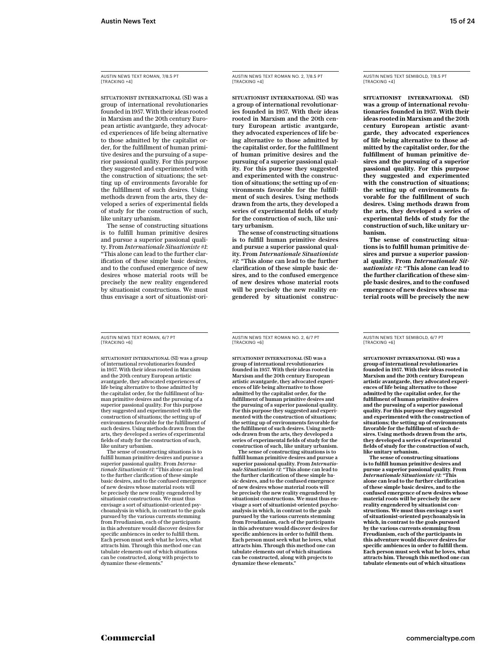AUSTIN NEWS TEXT ROMAN, 7/8.5 PT [TRACKING +4]

SITUATIONIST INTERNATIONAL (SI) was a group of international revolutionaries founded in 1957. With their ideas rooted in Marxism and the 20th century European artistic avantgarde, they advocated experiences of life being alternative to those admitted by the capitalist order, for the fulfillment of human primitive desires and the pursuing of a superior passional quality. For this purpose they suggested and experimented with the construction of situations; the setting up of environments favorable for the fulfillment of such desires. Using methods drawn from the arts, they developed a series of experimental fields of study for the construction of such, like unitary urbanism.

The sense of constructing situations is to fulfill human primitive desires and pursue a superior passional quality. From *Internationale Situationiste #1*: "This alone can lead to the further clarification of these simple basic desires, and to the confused emergence of new desires whose material roots will be precisely the new reality engendered by situationist constructions. We must thus envisage a sort of situationist-ori-

AUSTIN NEWS TEXT ROMAN, 6/7 PT [TRACKING +6]

SITUATIONIST INTERNATIONAL (SI) was a group of international revolutionaries founded in 1957. With their ideas rooted in Marxism and the 20th century European artistic avantgarde, they advocated experiences of life being alternative to those admitted by the capitalist order, for the fulfillment of human primitive desires and the pursuing of a superior passional quality. For this purpose they suggested and experimented with the construction of situations; the setting up of environments favorable for the fulfillment of such desires. Using methods drawn from the arts, they developed a series of experimental fields of study for the construction of such, like unitary urbanism.

The sense of constructing situations is to fulfill human primitive desires and pursue a superior passional quality. From *Internationale Situationiste #1*: "This alone can lead to the further clarification of these simple basic desires, and to the confused emergence of new desires whose material roots will be precisely the new reality engendered by situationist constructions. We must thus envisage a sort of situationist-oriented psychoanalysis in which, in contrast to the goals pursued by the various currents stemming from Freudianism, each of the participants in this adventure would discover desires for specific ambiences in order to fulfill them. Each person must seek what he loves, what attracts him. Through this method one can tabulate elements out of which situations can be constructed, along with projects to dynamize these elements."

AUSTIN NEWS TEXT ROMAN NO. 2, 7/8.5 PT [TRACKING +4]

SITUATIONIST INTERNATIONAL (SI) was a group of international revolutionaries founded in 1957. With their ideas rooted in Marxism and the 20th century European artistic avantgarde, they advocated experiences of life being alternative to those admitted by the capitalist order, for the fulfillment of human primitive desires and the pursuing of a superior passional quality. For this purpose they suggested and experimented with the construction of situations; the setting up of environments favorable for the fulfillment of such desires. Using methods drawn from the arts, they developed a series of experimental fields of study for the construction of such, like unitary urbanism.

The sense of constructing situations is to fulfill human primitive desires and pursue a superior passional quality. From *Internationale Situationiste #1*: "This alone can lead to the further clarification of these simple basic desires, and to the confused emergence of new desires whose material roots will be precisely the new reality engendered by situationist construc-

AUSTIN NEWS TEXT SEMIBOLD, 7/8.5 PT [TRACKING +4]

**SITUATIONIST INTERNATIONAL (SI) was a group of international revolutionaries founded in 1957. With their ideas rooted in Marxism and the 20th century European artistic avantgarde, they advocated experiences of life being alternative to those admitted by the capitalist order, for the fulfillment of human primitive desires and the pursuing of a superior passional quality. For this purpose they suggested and experimented with the construction of situations; the setting up of environments favorable for the fulfillment of such desires. Using methods drawn from the arts, they developed a series of experimental fields of study for the construction of such, like unitary urbanism.**

**The sense of constructing situations is to fulfill human primitive desires and pursue a superior passional quality. From** *Internationale Situationiste #1***: "This alone can lead to the further clarification of these simple basic desires, and to the confused emergence of new desires whose material roots will be precisely the new** 

AUSTIN NEWS TEXT ROMAN NO. 2, 6/7 PT [TRACKING +6]

SITUATIONIST INTERNATIONAL (SI) was a group of international revolutionaries founded in 1957. With their ideas rooted in Marxism and the 20th century European artistic avantgarde, they advocated experiences of life being alternative to those admitted by the capitalist order, for the fulfillment of human primitive desires and the pursuing of a superior passional quality. For this purpose they suggested and experimented with the construction of situations; the setting up of environments favorable for the fulfillment of such desires. Using methods drawn from the arts, they developed a series of experimental fields of study for the construction of such, like unitary urbanism.

The sense of constructing situations is to fulfill human primitive desires and pursue a superior passional quality. From *Internationale Situationiste #1*: "This alone can lead to the further clarification of these simple basic desires, and to the confused emergence of new desires whose material roots will be precisely the new reality engendered by situationist constructions. We must thus envisage a sort of situationist-oriented psychoanalysis in which, in contrast to the goals pursued by the various currents stemming from Freudianism, each of the participants in this adventure would discover desires for specific ambiences in order to fulfill them. Each person must seek what he loves, what attracts him. Through this method one can tabulate elements out of which situations can be constructed, along with projects to dynamize these elements."

AUSTIN NEWS TEXT SEMIBOLD, 6/7 PT [TRACKING +6]

**SITUATIONIST INTERNATIONAL (SI) was a group of international revolutionaries founded in 1957. With their ideas rooted in Marxism and the 20th century European artistic avantgarde, they advocated experiences of life being alternative to those admitted by the capitalist order, for the fulfillment of human primitive desires and the pursuing of a superior passional quality. For this purpose they suggested and experimented with the construction of situations; the setting up of environments favorable for the fulfillment of such desires. Using methods drawn from the arts, they developed a series of experimental fields of study for the construction of such, like unitary urbanism.**

**The sense of constructing situations is to fulfill human primitive desires and pursue a superior passional quality. From**  *Internationale Situationiste #1***: "This alone can lead to the further clarification of these simple basic desires, and to the confused emergence of new desires whose material roots will be precisely the new reality engendered by situationist con-structions. We must thus envisage a sort of situationist-oriented psychoanalysis in which, in contrast to the goals pursued by the various currents stemming from Freudianism, each of the participants in this adventure would discover desires for specific ambiences in order to fulfill them. Each person must seek what he loves, what attracts him. Through this method one can tabulate elements out of which situations**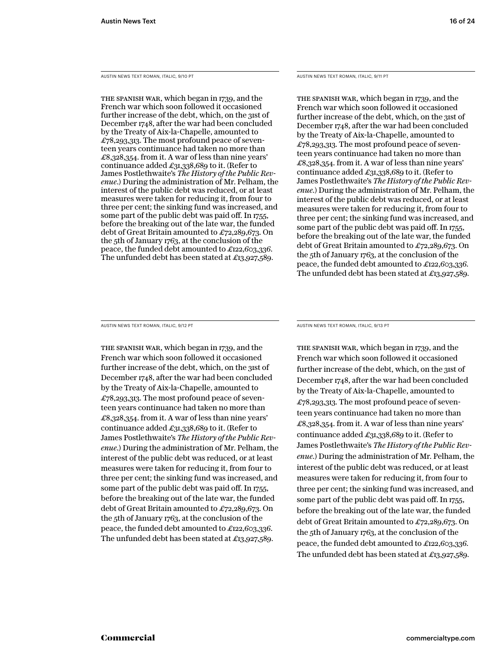AUSTIN NEWS TEXT ROMAN, ITALIC, 9/10 PT

The Spanish War, which began in 1739, and the French war which soon followed it occasioned further increase of the debt, which, on the 31st of December 1748, after the war had been concluded by the Treaty of Aix-la-Chapelle, amounted to £78,293,313. The most profound peace of seventeen years continuance had taken no more than £8,328,354. from it. A war of less than nine years' continuance added £31,338,689 to it. (Refer to James Postlethwaite's *The History of the Public Revenue.*) During the administration of Mr. Pelham, the interest of the public debt was reduced, or at least measures were taken for reducing it, from four to three per cent; the sinking fund was increased, and some part of the public debt was paid off. In 1755, before the breaking out of the late war, the funded debt of Great Britain amounted to £72,289,673. On the 5th of January 1763, at the conclusion of the peace, the funded debt amounted to £122,603,336. The unfunded debt has been stated at £13,927,589.

AUSTIN NEWS TEXT ROMAN, ITALIC, 9/11 PT

The Spanish War, which began in 1739, and the French war which soon followed it occasioned further increase of the debt, which, on the 31st of December 1748, after the war had been concluded by the Treaty of Aix-la-Chapelle, amounted to  $\pounds$ 78,293,313. The most profound peace of seventeen years continuance had taken no more than £8,328,354. from it. A war of less than nine years' continuance added £31,338,689 to it. (Refer to James Postlethwaite's *The History of the Public Revenue.*) During the administration of Mr. Pelham, the interest of the public debt was reduced, or at least measures were taken for reducing it, from four to three per cent; the sinking fund was increased, and some part of the public debt was paid off. In 1755, before the breaking out of the late war, the funded debt of Great Britain amounted to £72,289,673. On the 5th of January 1763, at the conclusion of the peace, the funded debt amounted to £122,603,336. The unfunded debt has been stated at £13,927,589.

AUSTIN NEWS TEXT ROMAN, ITALIC, 9/12 PT

The Spanish War, which began in 1739, and the French war which soon followed it occasioned further increase of the debt, which, on the 31st of December 1748, after the war had been concluded by the Treaty of Aix-la-Chapelle, amounted to £78,293,313. The most profound peace of seventeen years continuance had taken no more than £8,328,354. from it. A war of less than nine years' continuance added £31,338,689 to it. (Refer to James Postlethwaite's *The History of the Public Revenue.*) During the administration of Mr. Pelham, the interest of the public debt was reduced, or at least measures were taken for reducing it, from four to three per cent; the sinking fund was increased, and some part of the public debt was paid off. In 1755, before the breaking out of the late war, the funded debt of Great Britain amounted to £72,289,673. On the 5th of January 1763, at the conclusion of the peace, the funded debt amounted to £122,603,336. The unfunded debt has been stated at £13,927,589.

AUSTIN NEWS TEXT ROMAN, ITALIC, 9/13 PT

The Spanish War, which began in 1739, and the French war which soon followed it occasioned further increase of the debt, which, on the 31st of December 1748, after the war had been concluded by the Treaty of Aix-la-Chapelle, amounted to £78,293,313. The most profound peace of seventeen years continuance had taken no more than £8,328,354. from it. A war of less than nine years' continuance added £31,338,689 to it. (Refer to James Postlethwaite's *The History of the Public Revenue.*) During the administration of Mr. Pelham, the interest of the public debt was reduced, or at least measures were taken for reducing it, from four to three per cent; the sinking fund was increased, and some part of the public debt was paid off. In 1755, before the breaking out of the late war, the funded debt of Great Britain amounted to £72,289,673. On the 5th of January 1763, at the conclusion of the peace, the funded debt amounted to £122,603,336. The unfunded debt has been stated at £13,927,589.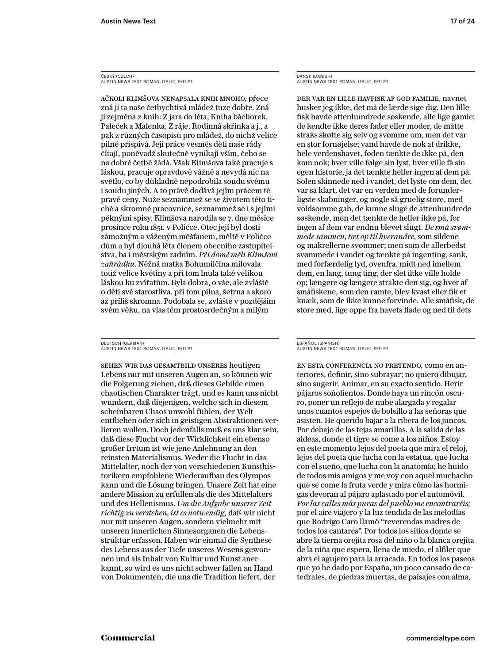ČESKÝ (CZECH) AUSTIN NEWS TEXT ROMAN, ITALIC, 9/11 PT

Ačkoli klimšova nenapsala knih mnoho, přece zná ji ta naše četbychtivá mládež tuze dobře. Zná ji zejména z knih: Z jara do léta, Kniha báchorek, Paleček a Malenka, Z ráje, Rodinná skřínka a j., a pak z různých časopisů pro mládež, do nichž velice pilně přispívá. Její práce vesměs děti naše rády čítají, poněvadž skutečně vynikají vším, čeho se na dobré četbě žádá. Však Klimšova také pracuje s láskou, pracuje opravdově vážně a nevydá nic na světlo, co by důkladně nepodrobila soudu svému i soudu jiných. A to právě dodává jejím prácem té pravé ceny. Nuže seznammež se se životem této tiché a skromné pracovnice, seznammež se i s jejími pěknými spisy. Klimšova narodila se 7. dne měsíce prosince roku 1851. v Poličce. Otec její byl dosti zámožným a váženým měšťanem, měltě v Poličce dům a byl dlouhá léta členem obecního zastupitelstva, ba i městským radním. *Při domě měli Klimšovi zahrádku.* Něžná matka Bohumilčina milovala totiž velice květiny a při tom lnula také velikou láskou ku zvířatům. Byla dobra, o vše, ale zvláště o děti své starostliva, při tom pilna, šetrna a skoro až příliš skromna. Podobala se, zvláště v pozdějším svém věku, na vlas těm prostosrdečným a milým

DEUTSCH (GERMAN) AUSTIN NEWS TEXT ROMAN, ITALIC, 9/11 PT

Sehen wir das Gesamtbild unseres heutigen Lebens nur mit unseren Augen an, so können wir die Folgerung ziehen, daß dieses Gebilde einen chaotischen Charakter trägt, und es kann uns nicht wundern, daß diejenigen, welche sich in diesem scheinbaren Chaos unwohl fühlen, der Welt entfliehen oder sich in geistigen Abstraktionen verlieren wollen. Doch jedenfalls muß es uns klar sein, daß diese Flucht vor der Wirklichkeit ein ebenso großer Irrtum ist wie jene Anlehnung an den reinsten Materialismus. Weder die Flucht in das Mittelalter, noch der von verschiedenen Kunsthistorikern empfohlene Wiederaufbau des Olympos kann und die Lösung bringen. Unsere Zeit hat eine andere Mission zu erfüllen als die des Mittelalters und des Hellenismus. *Um die Aufgabe unserer Zeit richtig zu verstehen, ist es notwendig,* daß wir nicht nur mit unseren Augen, sondern vielmehr mit unseren innerlichen Sinnesorganen die Lebensstruktur erfassen. Haben wir einmal die Synthese des Lebens aus der Tiefe unseres Wesens gewonnen und als Inhalt von Kultur und Kunst anerkannt, so wird es uns nicht schwer fallen an Hand von Dokumenten, die uns die Tradition liefert, der

DANSK (DANISH) AUSTIN NEWS TEXT ROMAN, ITALIC, 9/11 PT

Der var en lille havfisk af god familie, navnet husker jeg ikke, det må de lærde sige dig. Den lille fisk havde attenhundrede søskende, alle lige gamle; de kendte ikke deres fader eller moder, de måtte straks skøtte sig selv og svømme om, men det var en stor fornøjelse; vand havde de nok at drikke, hele verdenshavet, føden tænkte de ikke på, den kom nok; hver ville følge sin lyst, hver ville få sin egen historie, ja det tænkte heller ingen af dem på. Solen skinnede ned i vandet, det lyste om dem, det var så klart, det var en verden med de forunderligste skabninger, og nogle så gruelig store, med voldsomme gab, de kunne sluge de attenhundrede søskende, men det tænkte de heller ikke på, for ingen af dem var endnu blevet slugt. *De små svømmede sammen, tæt op til hverandre,* som sildene og makrellerne svømmer; men som de allerbedst svømmede i vandet og tænkte på ingenting, sank, med forfærdelig lyd, ovenfra, midt ned imellem dem, en lang, tung ting, der slet ikke ville holde op; længere og længere strakte den sig, og hver af småfiskene, som den ramte, blev kvast eller fik et knæk, som de ikke kunne forvinde. Alle småfisk, de store med, lige oppe fra havets flade og ned til dets

#### ESPAÑOL (SPANISH) AUSTIN NEWS TEXT ROMAN, ITALIC, 9/11 PT

En esta conferencia no pretendo, como en anteriores, definir, sino subrayar; no quiero dibujar, sino sugerir. Animar, en su exacto sentido. Herir pájaros soñolientos. Donde haya un rincón oscuro, poner un reflejo de nube alargada y regalar unos cuantos espejos de bolsillo a las señoras que asisten. He querido bajar a la ribera de los juncos. Por debajo de las tejas amarillas. A la salida de las aldeas, donde el tigre se come a los niños. Estoy en este momento lejos del poeta que mira el reloj, lejos del poeta que lucha con la estatua, que lucha con el sueño, que lucha con la anatomía; he huido de todos mis amigos y me voy con aquel muchacho que se come la fruta verde y mira cómo las hormigas devoran al pájaro aplastado por el automóvil. *Por las calles más puras del pueblo me encontraréis;* por el aire viajero y la luz tendida de las melodías que Rodrigo Caro llamó "reverendas madres de todos los cantares". Por todos los sitios donde se abre la tierna orejita rosa del niño o la blanca orejita de la niña que espera, llena de miedo, el alfiler que abra el agujero para la arracada. En todos los paseos que yo he dado por España, un poco cansado de catedrales, de piedras muertas, de paisajes con alma,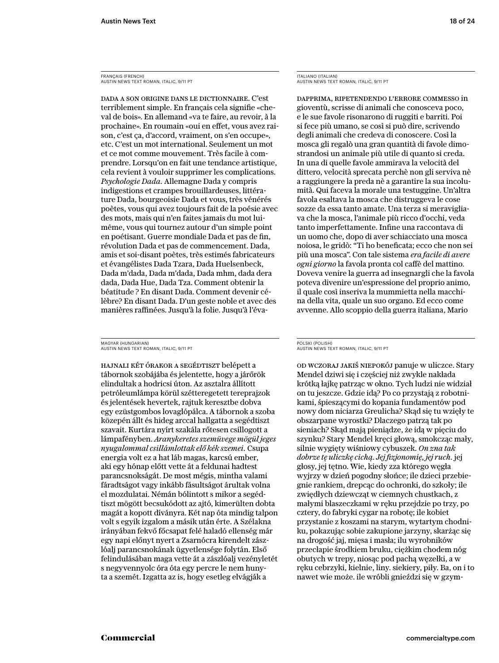FRANÇAIS (FRENCH) AUSTIN NEWS TEXT ROMAN, ITALIC, 9/11 PT

Dada a son origine dans le dictionnaire. C'est terriblement simple. En français cela signifie «cheval de bois». En allemand «va te faire, au revoir, à la prochaine». En roumain «oui en effet, vous avez raison, c'est ça, d'accord, vraiment, on s'en occupe», etc. C'est un mot international. Seulement un mot et ce mot comme mouvement. Très facile à comprendre. Lorsqu'on en fait une tendance artistique, cela revient à vouloir supprimer les complications. *Psychologie Dada.* Allemagne Dada y compris indigestions et crampes brouillardeuses, littérature Dada, bourgeoisie Dada et vous, très vénérés poètes, vous qui avez toujours fait de la poésie avec des mots, mais qui n'en faites jamais du mot luimême, vous qui tournez autour d'un simple point en poétisant. Guerre mondiale Dada et pas de fin, révolution Dada et pas de commencement. Dada, amis et soi-disant poètes, très estimés fabricateurs et évangélistes Dada Tzara, Dada Huelsenbeck, Dada m'dada, Dada m'dada, Dada mhm, dada dera dada, Dada Hue, Dada Tza. Comment obtenir la béatitude ? En disant Dada. Comment devenir célèbre? En disant Dada. D'un geste noble et avec des manières raffinées. Jusqu'à la folie. Jusqu'à l'éva-

MAGYAR (HUNGARIAN) AUSTIN NEWS TEXT ROMAN, ITALIC, 9/11 PT

Hajnali két órakor a segédtiszt belépett a tábornok szobájába és jelentette, hogy a járőrök elindultak a hodricsi úton. Az asztalra állított petróleumlámpa körül szétteregetett tereprajzok és jelentések hevertek, rajtuk keresztbe dobva egy ezüstgombos lovaglópálca. A tábornok a szoba közepén állt és hideg arccal hallgatta a segédtiszt szavait. Kurtára nyírt szakála rőtesen csillogott a lámpafényben. *Aranykeretes szemüvege mögül jeges nyugalommal csillámlottak elő kék szemei.* Csupa energia volt ez a hat láb magas, karcsú ember, aki egy hónap előtt vette át a feldunai hadtest parancsnokságát. De most mégis, mintha valami fáradtságot vagy inkább fásultságot árultak volna el mozdulatai. Némán bólintott s mikor a segédtiszt mögött becsukódott az ajtó, kimerülten dobta magát a kopott díványra. Két nap óta mindig talpon volt s egyik izgalom a másik után érte. A Szélakna irányában fekvő főcsapat felé haladó ellenség már egy napi előnyt nyert a Zsarnócra kirendelt zászlóalj parancsnokának ügyetlensége folytán. Első felindulásában maga vette át a zászlóalj vezényletét s negyvennyolc óra óta egy percre le nem hunyta a szemét. Izgatta az is, hogy esetleg elvágják a

ITALIANO (ITALIAN) AUSTIN NEWS TEXT ROMAN, ITALIC, 9/11 PT

Dapprima, ripetendendo l'errore commesso in gioventù, scrisse di animali che conosceva poco, e le sue favole risonarono di ruggiti e barriti. Poi si fece più umano, se così si può dire, scrivendo degli animali che credeva di conoscere. Così la mosca gli regalò una gran quantità di favole dimostrandosi un animale più utile di quanto si creda. In una di quelle favole ammirava la velocità del dittero, velocità sprecata perchè non gli serviva nè a raggiungere la preda nè a garantire la sua incolumità. Qui faceva la morale una testuggine. Un'altra favola esaltava la mosca che distruggeva le cose sozze da essa tanto amate. Una terza si meravigliava che la mosca, l'animale più ricco d'occhi, veda tanto imperfettamente. Infine una raccontava di un uomo che, dopo di aver schiacciato una mosca noiosa, le gridò: "Ti ho beneficata; ecco che non sei più una mosca". Con tale sistema *era facile di avere ogni giorno* la favola pronta col caffè del mattino. Doveva venire la guerra ad insegnargli che la favola poteva divenire un'espressione del proprio animo, il quale così inseriva la mummietta nella macchina della vita, quale un suo organo. Ed ecco come avvenne. Allo scoppio della guerra italiana, Mario

#### POLSKI (POLISH) AUSTIN NEWS TEXT ROMAN, ITALIC, 9/11 PT

Od wczoraj jakiś niepokój panuje w uliczce. Stary Mendel dziwi się i częściej niż zwykle nakłada krótką łajkę patrząc w okno. Tych ludzi nie widział on tu jeszcze. Gdzie idą? Po co przystają z robotnikami, śpieszącymi do kopania fundamentów pod nowy dom niciarza Greulicha? Skąd się tu wzięły te obszarpane wyrostki? Dlaczego patrzą tak po sieniach? Skąd mają pieniądze, że idą w pięciu do szynku? Stary Mendel kręci głową, smokcząc mały, silnie wygięty wiśniowy cybuszek. *On zna tak dobrze tę uliczkę cichą. Jej fizjonomię, jej ruch.* jej głosy, jej tętno. Wie, kiedy zza którego węgła wyjrzy w dzień pogodny słońce; ile dzieci przebiegnie rankiem, drepcąc do ochronki, do szkoły; ile zwiędłych dziewcząt w ciemnych chustkach, z małymi blaszeczkami w ręku przejdzie po trzy, po cztery, do fabryki cygar na robotę; ile kobiet przystanie z koszami na starym, wytartym chodniku, pokazując sobie zakupione jarzyny, skarżąc się na drogość jaj, mięsa i masła; ilu wyrobników przecłapie środkiem bruku, ciężkim chodem nóg obutych w trepy, niosąc pod pachą węzełki, a w ręku cebrzyki, kielnie, liny. siekiery, piły. Ba, on i to nawet wie może. ile wróbli gnieździ się w gzym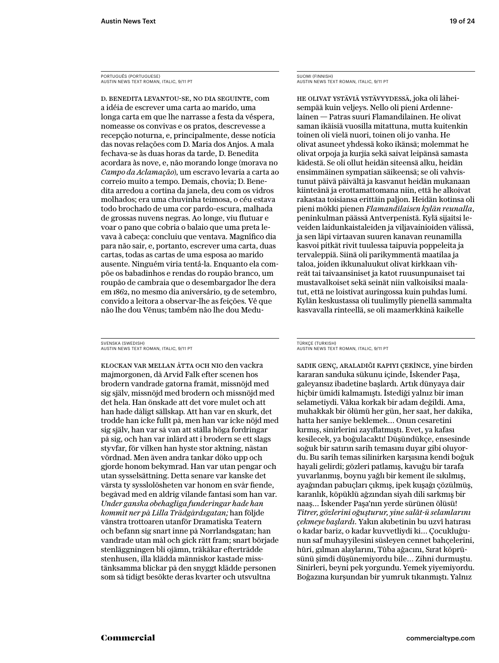D. Benedita levantou-se, no dia seguinte, com a idéia de escrever uma carta ao marido, uma longa carta em que lhe narrasse a festa da véspera, nomeasse os convivas e os pratos, descrevesse a recepção noturna, e, principalmente, desse notícia das novas relações com D. Maria dos Anjos. A mala fechava-se às duas horas da tarde, D. Benedita acordara às nove, e, não morando longe (morava no *Campo da Aclamação*), um escravo levaria a carta ao correio muito a tempo. Demais, chovia; D. Benedita arredou a cortina da janela, deu com os vidros molhados; era uma chuvinha teimosa, o céu estava todo brochado de uma cor pardo-escura, malhada de grossas nuvens negras. Ao longe, viu flutuar e voar o pano que cobria o balaio que uma preta levava à cabeça: concluiu que ventava. Magnífico dia para não sair, e, portanto, escrever uma carta, duas cartas, todas as cartas de uma esposa ao marido ausente. Ninguém viria tentá-la. Enquanto ela compõe os babadinhos e rendas do roupão branco, um roupão de cambraia que o desembargador lhe dera em 1862, no mesmo dia aniversário, 19 de setembro, convido a leitora a observar-lhe as feições. Vê que não lhe dou Vênus; também não lhe dou Medu-

SVENSKA (SWEDISH) AUSTIN NEWS TEXT ROMAN, ITALIC, 9/11 PT

Klockan var mellan åtta och nio den vackra majmorgonen, då Arvid Falk efter scenen hos brodern vandrade gatorna framåt, missnöjd med sig själv, missnöjd med brodern och missnöjd med det hela. Han önskade att det vore mulet och att han hade dåligt sällskap. Att han var en skurk, det trodde han icke fullt på, men han var icke nöjd med sig själv, han var så van att ställa höga fordringar på sig, och han var inlärd att i brodern se ett slags styvfar, för vilken han hyste stor aktning, nästan vördnad. Men även andra tankar döko upp och gjorde honom bekymrad. Han var utan pengar och utan sysselsättning. Detta senare var kanske det värsta ty sysslolösheten var honom en svår fiende, begåvad med en aldrig vilande fantasi som han var. *Under ganska obehagliga funderingar hade han kommit ner på Lilla Trädgårdsgatan;* han följde vänstra trottoaren utanför Dramatiska Teatern och befann sig snart inne på Norrlandsgatan; han vandrade utan mål och gick rätt fram; snart började stenläggningen bli ojämn, träkåkar efterträdde stenhusen, illa klädda människor kastade misstänksamma blickar på den snyggt klädde personen som så tidigt besökte deras kvarter och utsvultna

SUOMI (FINNISH) AUSTIN NEWS TEXT ROMAN, ITALIC, 9/11 PT

He olivat ystäviä ystävyydessä, joka oli läheisempää kuin veljeys. Nello oli pieni Ardennelainen — Patras suuri Flamandilainen. He olivat saman ikäisiä vuosilla mitattuna, mutta kuitenkin toinen oli vielä nuori, toinen oli jo vanha. He olivat asuneet yhdessä koko ikänsä; molemmat he olivat orpoja ja kurjia sekä saivat leipänsä samasta kädestä. Se oli ollut heidän siteensä alku, heidän ensimmäinen sympatian säikeensä; se oli vahvistunut päivä päivältä ja kasvanut heidän mukanaan kiinteänä ja erottamattomana niin, että he alkoivat rakastaa toisiansa erittäin paljon. Heidän kotinsa oli pieni mökki pienen *Flamandilaisen kylän reunalla*, peninkulman päässä Antverpenistä. Kylä sijaitsi leveiden laidunkaistaleiden ja viljavainioiden välissä, ja sen läpi virtaavan suuren kanavan reunamilla kasvoi pitkät rivit tuulessa taipuvia poppeleita ja tervaleppiä. Siinä oli parikymmentä maatilaa ja taloa, joiden ikkunaluukut olivat kirkkaan vihreät tai taivaansiniset ja katot ruusunpunaiset tai mustavalkoiset sekä seinät niin valkoisiksi maalatut, että ne loistivat auringossa kuin puhdas lumi. Kylän keskustassa oli tuulimylly pienellä sammalta kasvavalla rinteellä, se oli maamerkkinä kaikelle

#### TÜRKÇE (TURKISH) AUSTIN NEWS TEXT ROMAN, ITALIC, 9/11 PT

Sadık genç, araladığı kapıyı çekince, yine birden kararan sanduka sükunu içinde, İskender Paşa, galeyansız ibadetine başlardı. Artık dünyaya dair hiçbir ümidi kalmamıştı. İstediği yalnız bir iman selametiydi. Vâkıa korkak bir adam değildi. Ama, muhakkak bir ölümü her gün, her saat, her dakika, hatta her saniye beklemek… Onun cesaretini kırmış, sinirlerini zayıflatmıştı. Evet, ya kafası kesilecek, ya boğulacaktı! Düşündükçe, ensesinde soğuk bir satırın sarih temasını duyar gibi oluyordu. Bu sarih temas silinirken karşısına kendi boğuk hayali gelirdi; gözleri patlamış, kavuğu bir tarafa yuvarlanmış, boynu yağlı bir kement ile sıkılmış, ayağından pabuçları çıkmış, ipek kuşağı çözülmüş, karanlık, köpüklü ağzından siyah dili sarkmış bir naaş… İskender Paşa'nın yerde sürünen ölüsü! *Titrer, gözlerini oğuşturur, yine salât-ü selamlarını çekmeye başlardı.* Yakın akıbetinin bu uzvî hatırası o kadar bariz, o kadar kuvvetliydi ki… Çocukluğunun saf muhayyilesini süsleyen cennet bahçelerini, hûri, gılman alaylarını, Tûba ağacını, Sırat köprüsünü şimdi düşünemiyordu bile… Zihni durmuştu. Sinirleri, beyni pek yorgundu. Yemek yiyemiyordu. Boğazına kurşundan bir yumruk tıkanmıştı. Yalnız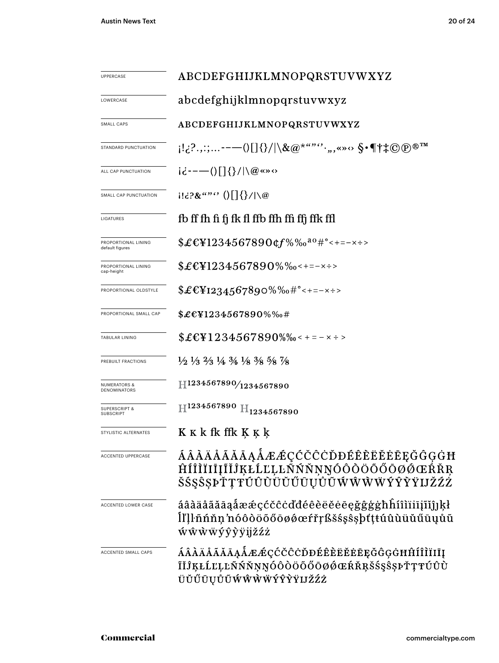| <b>UPPERCASE</b>                             | ABCDEFGHIJKLMNOPQRSTUVWXYZ                                                                                                    |  |  |  |  |  |
|----------------------------------------------|-------------------------------------------------------------------------------------------------------------------------------|--|--|--|--|--|
| LOWERCASE                                    | abcdefghijklmnopqrstuvwxyz                                                                                                    |  |  |  |  |  |
| SMALL CAPS                                   | ABCDEFGHIJKLMNOPQRSTUVWXYZ                                                                                                    |  |  |  |  |  |
| STANDARD PUNCTUATION                         |                                                                                                                               |  |  |  |  |  |
| ALL CAP PUNCTUATION                          | $i\dot{\epsilon}$ ---()[]{}/ \@«»<>                                                                                           |  |  |  |  |  |
| SMALL CAP PUNCTUATION                        | $1! \in \mathbb{R}^{n \times n}$ () $\left[\right] \left\{ \right\} / \left  \right\rangle \omega$                            |  |  |  |  |  |
| LIGATURES                                    | fb ff fh fi fj fk fl ffb ffh ffi ffj ffk ffl                                                                                  |  |  |  |  |  |
| PROPORTIONAL LINING<br>default figures       | $$£$ \[\left[1234567890\textlog{M}\%0^{\alpha}^{\sqrt{\sigma_{\cdot - - - \leftle - \leftlog{N}\$                             |  |  |  |  |  |
| PROPORTIONAL LINING<br>cap-height            | $$£EY1234567890\%$ % $\left\{+25.25996\%$                                                                                     |  |  |  |  |  |
| PROPORTIONAL OLDSTYLE                        | $$£EY1234567890\%%0\#°<+=-x\div$                                                                                              |  |  |  |  |  |
| PROPORTIONAL SMALL CAP                       | $$£EY1234567890\%%$                                                                                                           |  |  |  |  |  |
| <b>TABULAR LINING</b>                        | $$£EY1234567890\%$ % < + = - x ÷ >                                                                                            |  |  |  |  |  |
| PREBUILT FRACTIONS                           | $\frac{1}{2}$ $\frac{1}{3}$ $\frac{2}{3}$ $\frac{1}{4}$ $\frac{3}{4}$ $\frac{1}{8}$ $\frac{3}{8}$ $\frac{5}{8}$ $\frac{7}{8}$ |  |  |  |  |  |
| <b>NUMERATORS &amp;</b><br>DENOMINATORS      | H1234567890/1234567890                                                                                                        |  |  |  |  |  |
| <b>SUPERSCRIPT &amp;</b><br><b>SUBSCRIPT</b> | $\rm{H^{1234567890}\;H_{1234567890}}$                                                                                         |  |  |  |  |  |
| STYLISTIC ALTERNATES                         | K K k fk ffk Ķ Ķ ķ                                                                                                            |  |  |  |  |  |
| <b>ACCENTED UPPERCASE</b>                    | ÁÂÀÄÅÃĂĀĄÅÆÆÇĆČĊĎĐÉÊÈĔĔĖĒĘĞĜĢĠĦ<br>ĤÍÎÌĬIIĮĨĬĴĶŁĹĽĻĿÑŃŇŅŊÓÔŎÖŐŐØØŒŔŘR<br>ŠŚŞŜŞÞŤŢŦŨÛŨŬŬŰŨŲŮŨŴŴŴŴÝŶŶŸIJŽŹŻ                     |  |  |  |  |  |
| ACCENTED LOWER CASE                          | áâàäåãăāaåææçćčĉċďđéêèëĕėēęğĝģġħĥíîìïiījĩĭĵ]kł<br>ĺľļŀñńňn'nóôòöõőōøǿœŕřŗßšśşŝşþťţŧúûùüŭűūųůũ<br><b><i>wŵwwyŷỳÿijžźż</i></b>  |  |  |  |  |  |
| ACCENTED SMALL CAPS                          | ÁÂÀÄÅÃĂĀĄÅÆÆÇĆČĈĊĎĐÉÊÈËĔĖĒĘĞĜĢĠĦĤÍÎÌÏIĮ<br>ĨĬĴĶŁĹĽĻĿÑŃŇŅŊÓÔŎŎŐŎØØŒŔŘŖŠŚŞŜŞÞŤŢŦÚÛÙ<br><b>ÜŬŰŪŲŮŨŴŴŴŴÝŶŶŸIJŽŹŻ</b>              |  |  |  |  |  |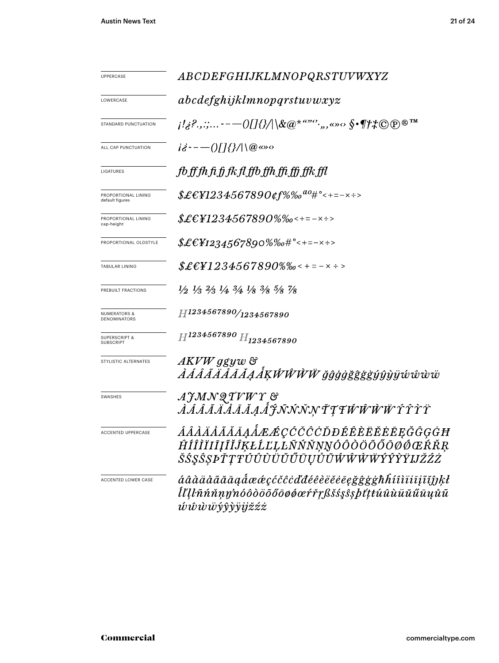| UPPERCASE                              | ABCDEFGHIJKLMNOPQRSTUVWXYZ                                                                                                    |  |  |  |  |  |
|----------------------------------------|-------------------------------------------------------------------------------------------------------------------------------|--|--|--|--|--|
| LOWERCASE                              | abcdefghijklmnopqrstuvwxyz                                                                                                    |  |  |  |  |  |
| STANDARD PUNCTUATION                   | $j!_{\delta}$ ?,,;,---()[]{}/ \&@*""'',,,«»<> $\int$ ^ \f#\@@@TM                                                              |  |  |  |  |  |
| ALL CAP PUNCTUATION                    | $i\dot{\delta}$ --- $()$ []{}/ $ \langle \emptyset \infty$                                                                    |  |  |  |  |  |
| LIGATURES                              | fbfffhfifjfkflffbffhffiffjfkffl                                                                                               |  |  |  |  |  |
| PROPORTIONAL LINING<br>default figures | $${\pounds\!\!\in\!}\epsilon$ ¥1234567890¢f%‰ $^{a o_{\#}\circ_{\texttt{<+=-}\times\texttt{+}>}}$                             |  |  |  |  |  |
| PROPORTIONAL LINING<br>cap-height      | $$£EY1234567890\%$ %0<+=-x÷>                                                                                                  |  |  |  |  |  |
| PROPORTIONAL OLDSTYLE                  | $$£EY1234567890\%%o#°<+=-x+>$                                                                                                 |  |  |  |  |  |
| TABULAR LINING                         | $$£EY1234567890%$ % < + = - x ÷ >                                                                                             |  |  |  |  |  |
| PREBUILT FRACTIONS                     | $\frac{1}{2}$ $\frac{1}{3}$ $\frac{2}{3}$ $\frac{1}{4}$ $\frac{3}{4}$ $\frac{1}{8}$ $\frac{3}{8}$ $\frac{5}{8}$ $\frac{7}{8}$ |  |  |  |  |  |
| NUMERATORS &<br>DENOMINATORS           | H1234567890/1234567890                                                                                                        |  |  |  |  |  |
| SUPERSCRIPT &<br><b>SUBSCRIPT</b>      | $H^{1234567890}$ $H_{1234567890}$                                                                                             |  |  |  |  |  |
| STYLISTIC ALTERNATES                   | AKVW ggyw &<br><i>ÀÁÂÃÄÅĀĂĄÅĶŴŴŴŴ ğĝģġğĝġġŷŷỳÿŵŵw</i>                                                                         |  |  |  |  |  |
| SWASHES                                | AJMNQTVWY &<br>ÀÁÁÃÄÄÄÄAÅĴĴÑŃŇŅŤŢŦŴŴŴŬŶŶŶŸ                                                                                    |  |  |  |  |  |
| ACCENTED UPPERCASE                     | ÁÂÀÄÅÃĂĀĄÅÆÆÇĆČĈÒĐÉÊÈËĔĔĒĘĞĜĢĠĦ<br>ĤÍÎĨĨĪIJĨĬĴĶŁĹĽĻĿÑŃŇŅŊÓÔÒÖŐŐŌØŒŔŘŖ<br>ŠŚŞŜȘÞŤŢŦÚÛÙÜŬŰŨŲŮŨŴŴŴŴÝŶŶŸIJŽŹŻ                     |  |  |  |  |  |
| ACCENTED LOWER CASE                    | áâàäåããāaaåææçćčĉċďđéêèëĕēęğĝġġħĥíîìïiīįĩĭĵĵķł<br>ĺľlŀñńňṇŋ'nóôòöõőōøǿœŕřŗßšśşŝşþťţŧúûùüŭűūųůũ<br><i>úŵŵŵýŷỳÿijžźż</i>        |  |  |  |  |  |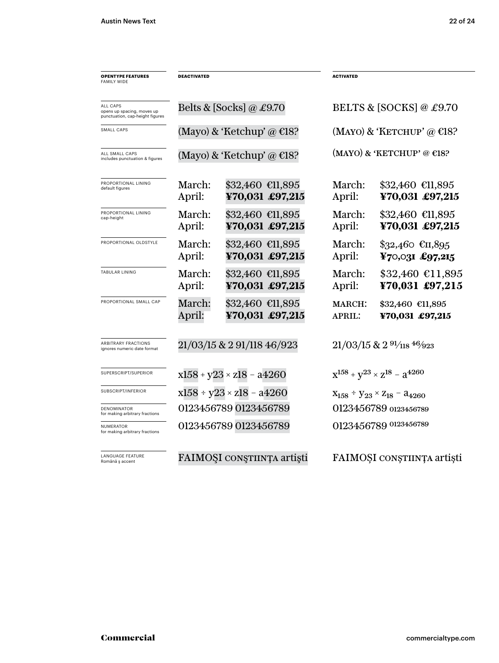| <b>OPENTYPE FEATURES</b><br><b>FAMILY WIDE</b>                            | <b>DEACTIVATED</b>           |                                     | <b>ACTIVATED</b>                       |                                                 |  |
|---------------------------------------------------------------------------|------------------------------|-------------------------------------|----------------------------------------|-------------------------------------------------|--|
| ALL CAPS<br>opens up spacing, moves up<br>punctuation, cap-height figures |                              | Belts & [Socks] @ £9.70             | BELTS & [SOCKS] @ £9.70                |                                                 |  |
| SMALL CAPS                                                                |                              | (Mayo) & 'Ketchup' @ $E$ 18?        | (MAYO) & 'KETCHUP' @ $E$ 18?           |                                                 |  |
| ALL SMALL CAPS<br>includes punctuation & figures                          | (Mayo) & 'Ketchup' @ $E$ 18? |                                     |                                        | (MAYO) & 'KETCHUP' @ $E$ 18?                    |  |
| PROPORTIONAL LINING<br>default figures                                    | March:<br>April:             | \$32,460 €11,895<br>¥70,031 £97,215 | March:<br>April:                       | $$32,460$ $$11,895$<br>¥70,031 £97,215          |  |
| PROPORTIONAL LINING<br>cap-height                                         | March:<br>April:             | \$32,460 €11,895<br>¥70,031 £97,215 | March:<br>April:                       | $$32,460$ $$11,895$<br>¥70,031 £97,215          |  |
| PROPORTIONAL OLDSTYLE                                                     | March:<br>April:             | \$32,460 €11,895<br>¥70,031 £97,215 | March:<br>April:                       | $\$32,460$ €II,895<br>¥70,031 £97,215           |  |
| TABULAR LINING                                                            | March:<br>April:             | \$32,460 €11,895<br>¥70,031 £97,215 | March:<br>April:                       | $$32,460$ €11,895<br>¥70,031 £97,215            |  |
| PROPORTIONAL SMALL CAP                                                    | March:<br>April:             | \$32,460 €11,895<br>¥70,031 £97,215 | <b>MARCH:</b><br><b>APRIL:</b>         | \$32,460 €11,895<br>¥70,031 £97,215             |  |
| ARBITRARY FRACTIONS<br>ignores numeric date format                        |                              | 21/03/15 & 2 91/118 46/923          | $21/03/15$ & $2\frac{91}{18}$ $46/923$ |                                                 |  |
| SUPERSCRIPT/SUPERIOR                                                      |                              | $x158 + y23 \times z18 - a4260$     |                                        | $x^{158} + y^{23} \times z^{18} - a^{4260}$     |  |
| SUBSCRIPT/INFERIOR                                                        |                              | $x158 + y23 \times z18 - a4260$     |                                        | $X_{158}$ ÷ $Y_{23} \times Z_{18}$ – $a_{4260}$ |  |
| DENOMINATOR<br>for making arbitrary fractions                             |                              | 0123456789 0123456789               |                                        | 0123456789 0123456789                           |  |
| <b>NUMERATOR</b><br>for making arbitrary fractions                        |                              | 0123456789 0123456789               | 0123456789 0123456789                  |                                                 |  |
| LANGUAGE FEATURE<br>Română ș accent                                       |                              | FAIMOȘI CONȘTIINȚA artiști          |                                        | FAIMOȘI CONȘTIINȚA artiști                      |  |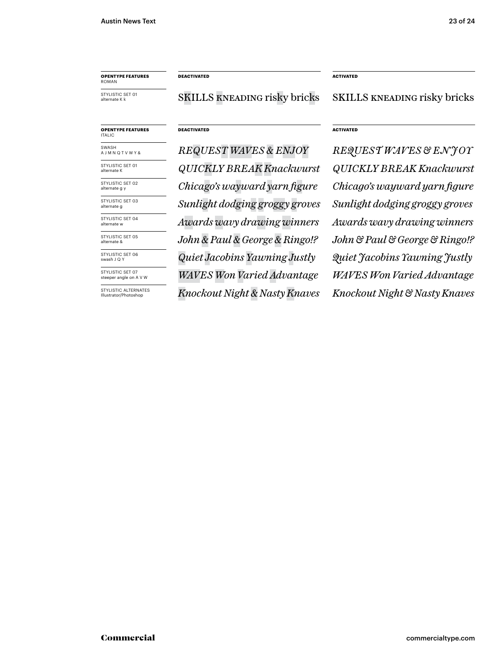# **OPENTYPE FEATURES** ROMAN

STYLISTIC SET 01 alternate K k

STYLISTIC SET 01 alternate K

STYLISTIC SET 03 alternate g

STYLISTIC SET 04 alternate w STYLISTIC SET 05 alternate & STYLISTIC SET 06 swash J Q Y STYLISTIC SET 07 steeper angle on A V W STYLISTIC ALTERNATES Illustrator/Photoshop

STYLISTIC SET 02 alternate g y

SWASH A J M N Q T V W Y &

#### **DEACTIVATED ACTIVATED**

SKILLS kneading risky bricks SKILLS kneading risky bricks

# **OPENTYPE FEATURES** ITALIC

*QUICKLY BREAK Knackwurst Sunlight dodging groggy groves Quiet Jacobins Yawning Justly WAVES Won Varied Advantage*

#### **DEACTIVATED ACTIVATED**

*REQUEST WAVES & ENJOY REQUEST WAVES & E N J OY QUICKLY BREAK Knackwurst Chicago's wayward yarn figure Chicago's wayward yarn figure Awards wavy drawing winners Awards wavy drawing winners John & Paul & George & Ringo!? John & Paul & George & Ringo!? Knockout Night & Nasty Knaves Knockout Night & Nasty Knaves WAVES Won Varied Advantage Sunlight dodging groggy groves Quiet Jacobins Yawning Justly*